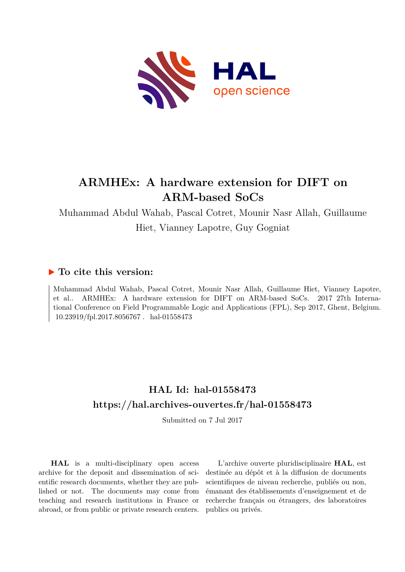

## **ARMHEx: A hardware extension for DIFT on ARM-based SoCs**

Muhammad Abdul Wahab, Pascal Cotret, Mounir Nasr Allah, Guillaume Hiet, Vianney Lapotre, Guy Gogniat

### **To cite this version:**

Muhammad Abdul Wahab, Pascal Cotret, Mounir Nasr Allah, Guillaume Hiet, Vianney Lapotre, et al.. ARMHEx: A hardware extension for DIFT on ARM-based SoCs. 2017 27th International Conference on Field Programmable Logic and Applications (FPL), Sep 2017, Ghent, Belgium.  $10.23919/fpl.2017.8056767$ . hal-01558473

## **HAL Id: hal-01558473 <https://hal.archives-ouvertes.fr/hal-01558473>**

Submitted on 7 Jul 2017

**HAL** is a multi-disciplinary open access archive for the deposit and dissemination of scientific research documents, whether they are published or not. The documents may come from teaching and research institutions in France or abroad, or from public or private research centers.

L'archive ouverte pluridisciplinaire **HAL**, est destinée au dépôt et à la diffusion de documents scientifiques de niveau recherche, publiés ou non, émanant des établissements d'enseignement et de recherche français ou étrangers, des laboratoires publics ou privés.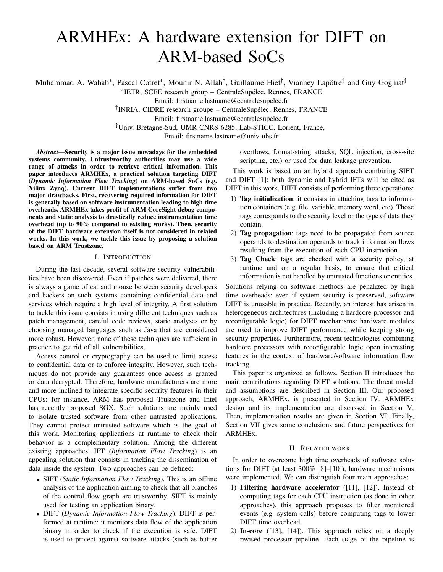# ARMHEx: A hardware extension for DIFT on ARM-based SoCs

Muhammad A. Wahab\*, Pascal Cotret\*, Mounir N. Allah<sup>†</sup>, Guillaume Hiet<sup>†</sup>, Vianney Lapôtre‡ and Guy Gogniat<sup>‡</sup>

\*IETR, SCEE research group - CentraleSupélec, Rennes, FRANCE

Email: firstname.lastname@centralesupelec.fr

<sup>†</sup> INRIA, CIDRE research groupe – CentraleSupélec, Rennes, FRANCE

Email: firstname.lastname@centralesupelec.fr

‡Univ. Bretagne-Sud, UMR CNRS 6285, Lab-STICC, Lorient, France,

Email: firstname.lastname@univ-ubs.fr

*Abstract*—Security is a major issue nowadays for the embedded systems community. Untrustworthy authorities may use a wide range of attacks in order to retrieve critical information. This paper introduces ARMHEx, a practical solution targeting DIFT (*Dynamic Information Flow Tracking*) on ARM-based SoCs (e.g. Xilinx Zynq). Current DIFT implementations suffer from two major drawbacks. First, recovering required information for DIFT is generally based on software instrumentation leading to high time overheads. ARMHEx takes profit of ARM CoreSight debug components and static analysis to drastically reduce instrumentation time overhead (up to 90% compared to existing works). Then, security of the DIFT hardware extension itself is not considered in related works. In this work, we tackle this issue by proposing a solution based on ARM Trustzone.

#### I. INTRODUCTION

During the last decade, several software security vulnerabilities have been discovered. Even if patches were delivered, there is always a game of cat and mouse between security developers and hackers on such systems containing confidential data and services which require a high level of integrity. A first solution to tackle this issue consists in using different techniques such as patch management, careful code reviews, static analyses or by choosing managed languages such as Java that are considered more robust. However, none of these techniques are sufficient in practice to get rid of all vulnerabilities.

Access control or cryptography can be used to limit access to confidential data or to enforce integrity. However, such techniques do not provide any guarantees once access is granted or data decrypted. Therefore, hardware manufacturers are more and more inclined to integrate specific security features in their CPUs: for instance, ARM has proposed Trustzone and Intel has recently proposed SGX. Such solutions are mainly used to isolate trusted software from other untrusted applications. They cannot protect untrusted software which is the goal of this work. Monitoring applications at runtime to check their behavior is a complementary solution. Among the different existing approaches, IFT (*Information Flow Tracking*) is an appealing solution that consists in tracking the dissemination of data inside the system. Two approaches can be defined:

- SIFT (*Static Information Flow Tracking*). This is an offline analysis of the application aiming to check that all branches of the control flow graph are trustworthy. SIFT is mainly used for testing an application binary.
- DIFT (*Dynamic Information Flow Tracking*). DIFT is performed at runtime: it monitors data flow of the application binary in order to check if the execution is safe. DIFT is used to protect against software attacks (such as buffer

overflows, format-string attacks, SQL injection, cross-site scripting, etc.) or used for data leakage prevention.

This work is based on an hybrid approach combining SIFT and DIFT [1]: both dynamic and hybrid IFTs will be cited as DIFT in this work. DIFT consists of performing three operations:

- 1) Tag initialization: it consists in attaching tags to information containers (e.g. file, variable, memory word, etc). Those tags corresponds to the security level or the type of data they contain.
- 2) Tag propagation: tags need to be propagated from source operands to destination operands to track information flows resulting from the execution of each CPU instruction.
- 3) Tag Check: tags are checked with a security policy, at runtime and on a regular basis, to ensure that critical information is not handled by untrusted functions or entities.

Solutions relying on software methods are penalized by high time overheads: even if system security is preserved, software DIFT is unusable in practice. Recently, an interest has arisen in heterogeneous architectures (including a hardcore processor and reconfigurable logic) for DIFT mechanisms: hardware modules are used to improve DIFT performance while keeping strong security properties. Furthermore, recent technologies combining hardcore processors with reconfigurable logic open interesting features in the context of hardware/software information flow tracking.

This paper is organized as follows. Section II introduces the main contributions regarding DIFT solutions. The threat model and assumptions are described in Section III. Our proposed approach, ARMHEx, is presented in Section IV. ARMHEx design and its implementation are discussed in Section V. Then, implementation results are given in Section VI. Finally, Section VII gives some conclusions and future perspectives for ARMHEx.

#### II. RELATED WORK

In order to overcome high time overheads of software solutions for DIFT (at least 300% [8]–[10]), hardware mechanisms were implemented. We can distinguish four main approaches:

- 1) Filtering hardware accelerator ([11], [12]). Instead of computing tags for each CPU instruction (as done in other approaches), this approach proposes to filter monitored events (e.g. system calls) before computing tags to lower DIFT time overhead.
- 2) In-core ([13], [14]). This approach relies on a deeply revised processor pipeline. Each stage of the pipeline is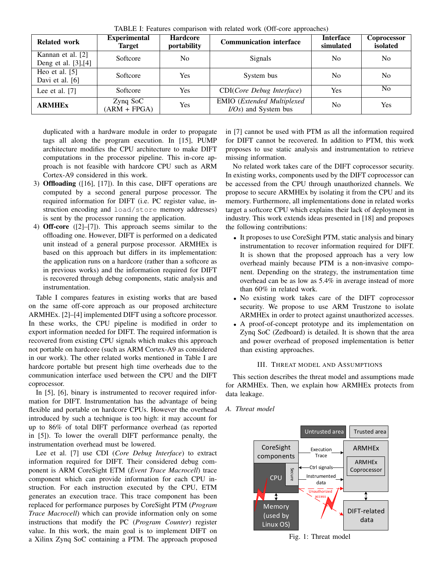| <b>Related work</b>                       | <b>Experimental</b><br><b>Target</b> | Hardcore<br>portability | <b>Communication interface</b>                                       | <b>Interface</b><br>simulated | Coprocessor<br>isolated |
|-------------------------------------------|--------------------------------------|-------------------------|----------------------------------------------------------------------|-------------------------------|-------------------------|
| Kannan et al. [2]<br>Deng et al. [3], [4] | Softcore                             | No                      | Signals                                                              | No.                           | N <sub>0</sub>          |
| Heo et al. $[5]$<br>Davi et al. [6]       | Softcore                             | Yes                     | System bus                                                           | No.                           | N <sub>0</sub>          |
| Lee et al. $[7]$                          | Softcore                             | Yes                     | CDI(Core Debug Interface)                                            | Yes                           | No.                     |
| <b>ARMHEx</b>                             | Zynq SoC<br>$(ARM + FPGA)$           | Yes                     | <b>EMIO</b> ( <i>Extended Multiplexed</i><br>$I/Os$ ) and System bus | No                            | Yes                     |

TABLE I: Features comparison with related work (Off-core approaches)

duplicated with a hardware module in order to propagate tags all along the program execution. In [15], PUMP architecture modifies the CPU architecture to make DIFT computations in the processor pipeline. This in-core approach is not feasible with hardcore CPU such as ARM Cortex-A9 considered in this work.

- 3) Offloading ([16], [17]). In this case, DIFT operations are computed by a second general purpose processor. The required information for DIFT (i.e. PC register value, instruction encoding and load/store memory addresses) is sent by the processor running the application.
- 4) Off-core ([2]–[7]). This approach seems similar to the offloading one. However, DIFT is performed on a dedicated unit instead of a general purpose processor. ARMHEx is based on this approach but differs in its implementation: the application runs on a hardcore (rather than a softcore as in previous works) and the information required for DIFT is recovered through debug components, static analysis and instrumentation.

Table I compares features in existing works that are based on the same off-core approach as our proposed architecture ARMHEx. [2]–[4] implemented DIFT using a softcore processor. In these works, the CPU pipeline is modified in order to export information needed for DIFT. The required information is recovered from existing CPU signals which makes this approach not portable on hardcore (such as ARM Cortex-A9 as considered in our work). The other related works mentioned in Table I are hardcore portable but present high time overheads due to the communication interface used between the CPU and the DIFT coprocessor.

In [5], [6], binary is instrumented to recover required information for DIFT. Instrumentation has the advantage of being flexible and portable on hardcore CPUs. However the overhead introduced by such a technique is too high: it may account for up to 86% of total DIFT performance overhead (as reported in [5]). To lower the overall DIFT performance penalty, the instrumentation overhead must be lowered.

Lee et al. [7] use CDI (*Core Debug Interface*) to extract information required for DIFT. Their considered debug component is ARM CoreSight ETM (*Event Trace Macrocell*) trace component which can provide information for each CPU instruction. For each instruction executed by the CPU, ETM generates an execution trace. This trace component has been replaced for performance purposes by CoreSight PTM (*Program Trace Macrocell*) which can provide information only on some instructions that modify the PC (*Program Counter*) register value. In this work, the main goal is to implement DIFT on a Xilinx Zynq SoC containing a PTM. The approach proposed

in [7] cannot be used with PTM as all the information required for DIFT cannot be recovered. In addition to PTM, this work proposes to use static analysis and instrumentation to retrieve missing information.

No related work takes care of the DIFT coprocessor security. In existing works, components used by the DIFT coprocessor can be accessed from the CPU through unauthorized channels. We propose to secure ARMHEx by isolating it from the CPU and its memory. Furthermore, all implementations done in related works target a softcore CPU which explains their lack of deployment in industry. This work extends ideas presented in [18] and proposes the following contributions:

- It proposes to use CoreSight PTM, static analysis and binary instrumentation to recover information required for DIFT. It is shown that the proposed approach has a very low overhead mainly because PTM is a non-invasive component. Depending on the strategy, the instrumentation time overhead can be as low as 5.4% in average instead of more than 60% in related work.
- No existing work takes care of the DIFT coprocessor security. We propose to use ARM Trustzone to isolate ARMHEx in order to protect against unauthorized accesses.
- A proof-of-concept prototype and its implementation on Zynq SoC (Zedboard) is detailed. It is shown that the area and power overhead of proposed implementation is better than existing approaches.

#### III. THREAT MODEL AND ASSUMPTIONS

This section describes the threat model and assumptions made for ARMHEx. Then, we explain how ARMHEx protects from data leakage.

#### *A. Threat model*



Fig. 1: Threat model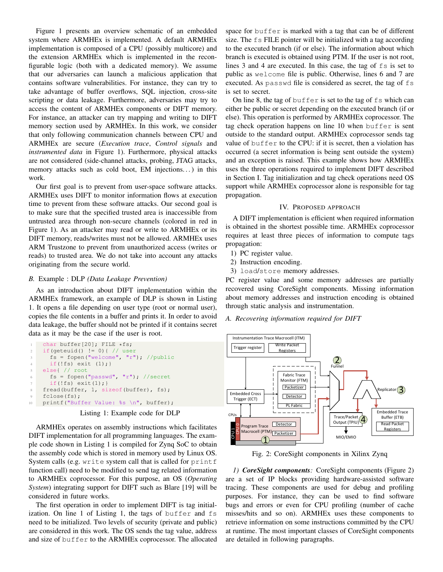Figure 1 presents an overview schematic of an embedded system where ARMHEx is implemented. A default ARMHEx implementation is composed of a CPU (possibly multicore) and the extension ARMHEx which is implemented in the reconfigurable logic (both with a dedicated memory). We assume that our adversaries can launch a malicious application that contains software vulnerabilities. For instance, they can try to take advantage of buffer overflows, SQL injection, cross-site scripting or data leakage. Furthermore, adversaries may try to access the content of ARMHEx components or DIFT memory. For instance, an attacker can try mapping and writing to DIFT memory section used by ARMHEx. In this work, we consider that only following communication channels between CPU and ARMHEx are secure (*Execution trace*, *Control signals* and *instrumented data* in Figure 1). Furthermore, physical attacks are not considered (side-channel attacks, probing, JTAG attacks, memory attacks such as cold boot, EM injections...) in this work.

Our first goal is to prevent from user-space software attacks. ARMHEx uses DIFT to monitor information flows at execution time to prevent from these software attacks. Our second goal is to make sure that the specified trusted area is inaccessible from untrusted area through non-secure channels (colored in red in Figure 1). As an attacker may read or write to ARMHEx or its DIFT memory, reads/writes must not be allowed. ARMHEx uses ARM Trustzone to prevent from unauthorized access (writes or reads) to trusted area. We do not take into account any attacks originating from the secure world.

#### *B.* Example : DLP *(Data Leakage Prevention)*

As an introduction about DIFT implementation within the ARMHEx framework, an example of DLP is shown in Listing 1. It opens a file depending on user type (root or normal user), copies the file contents in a buffer and prints it. In order to avoid data leakage, the buffer should not be printed if it contains secret data as it may be the case if the user is root.

```
char buffer[20]; FILE *fs;if(qeteuid() := 0) { // user}fs = fopen("welcome", "r"); // publicif(!fs) exit (1);else{ // root
      fs = fopen("passwd", "r"); // secretif(!fs) exit(1);fread(buffer, 1, sizeof(buffer), fs);
    fclose(fs);
10 printf("Buffer Value: %s \n", buffer);
```
Listing 1: Example code for DLP

ARMHEx operates on assembly instructions which facilitates DIFT implementation for all programming languages. The example code shown in Listing 1 is compiled for Zynq SoC to obtain the assembly code which is stored in memory used by Linux OS. System calls (e.g. write system call that is called for printf function call) need to be modified to send tag related information to ARMHEx coprocessor. For this purpose, an OS (*Operating System*) integrating support for DIFT such as Blare [19] will be considered in future works.

The first operation in order to implement DIFT is tag initialization. On line 1 of Listing 1, the tags of buffer and fs need to be initialized. Two levels of security (private and public) are considered in this work. The OS sends the tag value, address and size of buffer to the ARMHEx coprocessor. The allocated space for buffer is marked with a tag that can be of different size. The fs FILE pointer will be initialized with a tag according to the executed branch (if or else). The information about which branch is executed is obtained using PTM. If the user is not root, lines 3 and 4 are executed. In this case, the tag of  $fs$  is set to public as welcome file is public. Otherwise, lines 6 and 7 are executed. As passwd file is considered as secret, the tag of fs is set to secret.

On line 8, the tag of buffer is set to the tag of fs which can either be public or secret depending on the executed branch (if or else). This operation is performed by ARMHEx coprocessor. The tag check operation happens on line 10 when buffer is sent outside to the standard output. ARMHEx coprocessor sends tag value of buffer to the CPU: if it is secret, then a violation has occurred (a secret information is being sent outside the system) and an exception is raised. This example shows how ARMHEx uses the three operations required to implement DIFT described in Section I. Tag initialization and tag check operations need OS support while ARMHEx coprocessor alone is responsible for tag propagation.

#### IV. PROPOSED APPROACH

A DIFT implementation is efficient when required information is obtained in the shortest possible time. ARMHEx coprocessor requires at least three pieces of information to compute tags propagation:

- 1) PC register value.
- 2) Instruction encoding.
- 3) load/store memory addresses.

PC register value and some memory addresses are partially recovered using CoreSight components. Missing information about memory addresses and instruction encoding is obtained through static analysis and instrumentation.

#### *A. Recovering information required for DIFT*



Fig. 2: CoreSight components in Xilinx Zynq

*1) CoreSight components:* CoreSight components (Figure 2) are a set of IP blocks providing hardware-assisted software tracing. These components are used for debug and profiling purposes. For instance, they can be used to find software bugs and errors or even for CPU profiling (number of cache misses/hits and so on). ARMHEx uses these components to retrieve information on some instructions committed by the CPU at runtime. The most important classes of CoreSight components are detailed in following paragraphs.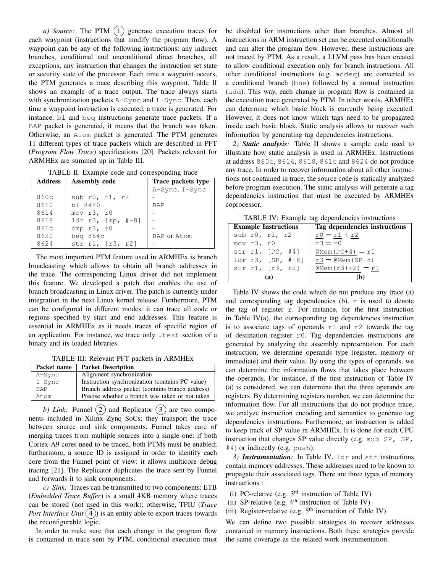*a)* Source: The PTM  $(1)$  generate execution traces for each waypoint (instructions that modify the program flow). A waypoint can be any of the following instructions: any indirect branches, conditional and unconditional direct branches, all exceptions, any instruction that changes the instruction set state or security state of the processor. Each time a waypoint occurs, the PTM generates a trace describing this waypoint. Table II shows an example of a trace output. The trace always starts with synchronization packets A-Sync and I-Sync. Then, each time a waypoint instruction is executed, a trace is generated. For instance, bl and beq instructions generate trace packets. If a BAP packet is generated, it means that the branch was taken. Otherwise, an Atom packet is generated. The PTM generates 11 different types of trace packets which are described in PFT (*Program Flow Trace*) specifications [20]. Packets relevant for ARMHEx are summed up in Table III.

|  |  |  |  | TABLE II: Example code and corresponding trace |  |
|--|--|--|--|------------------------------------------------|--|
|--|--|--|--|------------------------------------------------|--|

| <b>Address</b> | <b>Assembly code</b>   | Trace packets type |
|----------------|------------------------|--------------------|
|                |                        | A-Sync, I-Sync     |
| 860c           | sub $r0$ , $r1$ , $r2$ |                    |
| 8610           | b1 8480                | <b>BAP</b>         |
| 8614           | mov r3, r0             |                    |
| 8618           | $1dr$ r3, [sp, #-8]    |                    |
| 861c           | cmp $r3$ , $\#0$       |                    |
| 8620           | beg $864c$             | BAP or Atom        |
| 8624           | str $r1$ , $[r3, r2]$  |                    |

The most important PTM feature used in ARMHEx is branch broadcasting which allows to obtain all branch addresses in the trace. The corresponding Linux driver did not implement this feature. We developed a patch that enables the use of branch broadcasting in Linux driver. The patch is currently under integration in the next Linux kernel release. Furthermore, PTM can be configured in different modes: it can trace all code or regions specified by start and end addresses. This feature is essential in ARMHEx as it needs traces of specific region of an application. For instance, we trace only .text section of a binary and its loaded libraries.

TABLE III: Relevant PFT packets in ARMHEx

| Packet name | <b>Packet Description</b>                       |
|-------------|-------------------------------------------------|
| A-Sync      | Alignment synchronization                       |
| $I-Sync$    | Instruction synchronization (contains PC value) |
| <b>BAP</b>  | Branch address packet (contains branch address) |
| Atom        | Precise whether a branch was taken or not taken |

*b) Link:* Funnel  $(2)$  and Replicator  $(3)$  are two components included in Xilinx Zynq SoCs: they transport the trace between source and sink components. Funnel takes care of merging traces from multiple sources into a single one: if both Cortex-A9 cores need to be traced, both PTMs must be enabled; furthermore, a source ID is assigned in order to identify each core from the Funnel point of view: it allows multicore debug tracing [21]. The Replicator duplicates the trace sent by Funnel and forwards it to sink components.

*c) Sink:* Traces can be transmitted to two components: ETB (*Embedded Trace Buffer*) is a small 4KB memory where traces can be stored (not used in this work); otherwise, TPIU (*Trace Port Interface Unit*  $(4)$  is an entity able to export traces towards the reconfigurable logic.

In order to make sure that each change in the program flow is contained in trace sent by PTM, conditional execution must be disabled for instructions other than branches. Almost all instructions in ARM instruction set can be executed conditionally and can alter the program flow. However, these instructions are not traced by PTM. As a result, a LLVM pass has been created to allow conditional execution only for branch instructions. All other conditional instructions (e.g. addeq) are converted to a conditional branch (bne) followed by a normal instruction (add). This way, each change in program flow is contained in the execution trace generated by PTM. In other words, ARMHEx can determine which basic block is currently being executed. However, it does not know which tags need to be propagated inside each basic block. Static analysis allows to recover such information by generating tag dependencies instructions.

*2) Static analysis:* Table II shows a sample code used to illustrate how static analysis is used in ARMHEx. Instructions at address 860c, 8614, 8618, 861c and 8624 do not produce any trace. In order to recover information about all other instructions not contained in trace, the source code is statically analyzed before program execution. The static analysis will generate a tag dependencies instruction that must be executed by ARMHEx coprocessor.

TABLE IV: Example tag dependencies instructions

| <b>Example Instructions</b> | Tag dependencies instructions |
|-----------------------------|-------------------------------|
| sub $r0$ , $r1$ , $r2$      | $r0 = r1 + r2$                |
| mov r3, r0                  | $r3 = r0$                     |
| str $r1$ , $[PC, #4]$       | $@$ Mem $(PC+4) = r1$         |
| $1dr$ r3, [SP, #-8]         | $r3 = (Mem(SP-8))$            |
| str $r1$ , $[r3, r2]$       | $@Mem(r3+r2) = r1$            |
| (a)                         |                               |

Table IV shows the code which do not produce any trace (a) and corresponding tag dependencies (b).  $\mathbf{r}$  is used to denote the tag of register r. For instance, for the first instruction in Table IV(a), the corresponding tag dependencies instruction is to associate tags of operands  $r1$  and  $r2$  towards the tag of destination register  $r \theta$ . Tag dependencies instructions are generated by analyzing the assembly representation. For each instruction, we determine operands type (register, memory or immediate) and their value. By using the types of operands, we can determine the information flows that takes place between the operands. For instance, if the first instruction of Table IV (a) is considered, we can determine that the three operands are registers. By determining registers number, we can determine the information flow. For all instructions that do not produce trace, we analyze instruction encoding and semantics to generate tag dependencies instructions. Furthermore, an instruction is added to keep track of SP value in ARMHEx. It is done for each CPU instruction that changes SP value directly (e.g. sub SP, SP, #4) or indirectly (e.g. push).

*3) Instrumentation:* In Table IV, ldr and str instructions contain memory addresses. These addresses need to be known to propagate their associated tags. There are three types of memory instructions :

(i) PC-relative (e.g. 3rd instruction of Table IV)

- (ii) SP-relative (e.g.  $4<sup>th</sup>$  instruction of Table IV)
- (iii) Register-relative (e.g.  $5<sup>th</sup>$  instruction of Table IV)

We can define two possible strategies to recover addresses contained in memory instructions. Both these strategies provide the same coverage as the related work instrumentation.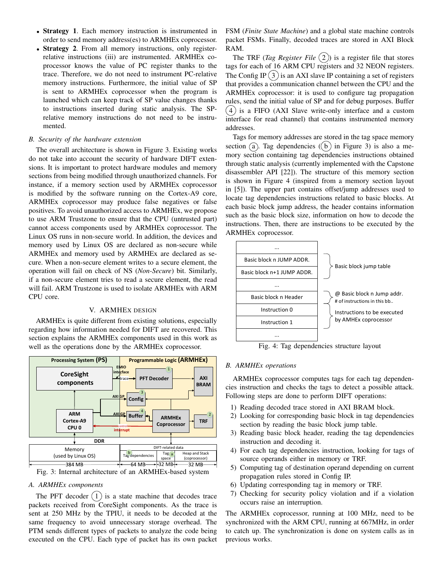- Strategy 1. Each memory instruction is instrumented in order to send memory address(es) to ARMHEx coprocessor.
- Strategy 2. From all memory instructions, only registerrelative instructions (iii) are instrumented. ARMHEx coprocessor knows the value of PC register thanks to the trace. Therefore, we do not need to instrument PC-relative memory instructions. Furthermore, the initial value of SP is sent to ARMHEx coprocessor when the program is launched which can keep track of SP value changes thanks to instructions inserted during static analysis. The SPrelative memory instructions do not need to be instrumented.

#### *B. Security of the hardware extension*

The overall architecture is shown in Figure 3. Existing works do not take into account the security of hardware DIFT extensions. It is important to protect hardware modules and memory sections from being modified through unauthorized channels. For instance, if a memory section used by ARMHEx coprocessor is modified by the software running on the Cortex-A9 core, ARMHEx coprocessor may produce false negatives or false positives. To avoid unauthorized access to ARMHEx, we propose to use ARM Trustzone to ensure that the CPU (untrusted part) cannot access components used by ARMHEx coprocessor. The Linux OS runs in non-secure world. In addition, the devices and memory used by Linux OS are declared as non-secure while ARMHEx and memory used by ARMHEx are declared as secure. When a non-secure element writes to a secure element, the operation will fail on check of NS (*Non-Secure*) bit. Similarly, if a non-secure element tries to read a secure element, the read will fail. ARM Trustzone is used to isolate ARMHEx with ARM CPU core.

#### V. ARMHEX DESIGN

ARMHEx is quite different from existing solutions, especially regarding how information needed for DIFT are recovered. This section explains the ARMHEx components used in this work as well as the operations done by the ARMHEx coprocessor.



Fig. 3: Internal architecture of an ARMHEx-based system

#### *A. ARMHEx components*

The PFT decoder  $(1)$  is a state machine that decodes trace packets received from CoreSight components. As the trace is sent at 250 MHz by the TPIU, it needs to be decoded at the same frequency to avoid unnecessary storage overhead. The PTM sends different types of packets to analyze the code being executed on the CPU. Each type of packet has its own packet

FSM (*Finite State Machine*) and a global state machine controls packet FSMs. Finally, decoded traces are stored in AXI Block RAM.

The TRF (*Tag Register File*  $(2)$ ) is a register file that stores tags for each of 16 ARM CPU registers and 32 NEON registers. The Config IP  $(3)$  is an AXI slave IP containing a set of registers that provides a communication channel between the CPU and the ARMHEx coprocessor: it is used to configure tag propagation rules, send the initial value of SP and for debug purposes. Buffer  $(4)$  is a FIFO (AXI Slave write-only interface and a custom interface for read channel) that contains instrumented memory addresses.

Tags for memory addresses are stored in the tag space memory section (a). Tag dependencies ((b) in Figure 3) is also a memory section containing tag dependencies instructions obtained through static analysis (currently implemented with the Capstone disassembler API [22]). The structure of this memory section is shown in Figure 4 (inspired from a memory section layout in [5]). The upper part contains offset/jump addresses used to locate tag dependencies instructions related to basic blocks. At each basic block jump address, the header contains information such as the basic block size, information on how to decode the instructions. Then, there are instructions to be executed by the ARMHEx coprocessor.



Fig. 4: Tag dependencies structure layout

#### *B. ARMHEx operations*

ARMHEx coprocessor computes tags for each tag dependencies instruction and checks the tags to detect a possible attack. Following steps are done to perform DIFT operations:

- 1) Reading decoded trace stored in AXI BRAM block.
- 2) Looking for corresponding basic block in tag dependencies section by reading the basic block jump table.
- 3) Reading basic block header, reading the tag dependencies instruction and decoding it.
- 4) For each tag dependencies instruction, looking for tags of source operands either in memory or TRF.
- 5) Computing tag of destination operand depending on current propagation rules stored in Config IP.
- 6) Updating corresponding tag in memory or TRF.
- 7) Checking for security policy violation and if a violation occurs raise an interruption.

The ARMHEx coprocessor, running at 100 MHz, need to be synchronized with the ARM CPU, running at 667MHz, in order to catch up. The synchronization is done on system calls as in previous works.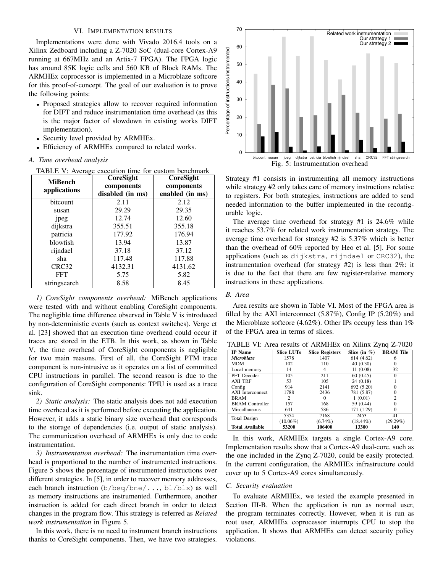#### VI. IMPLEMENTATION RESULTS

Implementations were done with Vivado 2016.4 tools on a Xilinx Zedboard including a Z-7020 SoC (dual-core Cortex-A9 running at 667MHz and an Artix-7 FPGA). The FPGA logic has around 85K logic cells and 560 KB of Block RAMs. The ARMHEx coprocessor is implemented in a Microblaze softcore for this proof-of-concept. The goal of our evaluation is to prove the following points:

- Proposed strategies allow to recover required information for DIFT and reduce instrumentation time overhead (as this is the major factor of slowdown in existing works DIFT implementation).
- Security level provided by ARMHEx.
- Efficiency of ARMHEx compared to related works.

#### *A. Time overhead analysis*

| TABLE V: Average execution time for custom benchmark |  |  |
|------------------------------------------------------|--|--|
|                                                      |  |  |

| <b>MiBench</b><br>applications | CoreSight<br>components<br>disabled (in ms) | CoreSight<br>components<br>enabled (in ms) |  |
|--------------------------------|---------------------------------------------|--------------------------------------------|--|
| bitcount                       | 2.11                                        | 2.12                                       |  |
| susan                          | 29.29                                       | 29.35                                      |  |
| jpeg                           | 12.74                                       | 12.60                                      |  |
| dijkstra                       | 355.51                                      | 355.18                                     |  |
| patricia                       | 177.92                                      | 176.94                                     |  |
| blowfish                       | 13.94                                       | 13.87                                      |  |
| rijndael                       | 37.18                                       | 37.12                                      |  |
| sha                            | 117.48                                      | 117.88                                     |  |
| CRC32                          | 4132.31                                     | 4131.62                                    |  |
| <b>FFT</b>                     | 5.75                                        | 5.82                                       |  |
| stringsearch                   | 8.58                                        | 8.45                                       |  |

*1) CoreSight components overhead:* MiBench applications were tested with and without enabling CoreSight components. The negligible time difference observed in Table V is introduced by non-deterministic events (such as context switches). Verge et al. [23] showed that an execution time overhead could occur if traces are stored in the ETB. In this work, as shown in Table V, the time overhead of CoreSight components is negligible for two main reasons. First of all, the CoreSight PTM trace component is non-intrusive as it operates on a list of committed CPU instructions in parallel. The second reason is due to the configuration of CoreSight components: TPIU is used as a trace sink.

*2) Static analysis:* The static analysis does not add execution time overhead as it is performed before executing the application. However, it adds a static binary size overhead that corresponds to the storage of dependencies (i.e. output of static analysis). The communication overhead of ARMHEx is only due to code instrumentation.

*3) Instrumentation overhead:* The instrumentation time overhead is proportional to the number of instrumented instructions. Figure 5 shows the percentage of instrumented instructions over different strategies. In [5], in order to recover memory addresses, each branch instruction (b/beq/bne/..., bl/blx) as well as memory instructions are instrumented. Furthermore, another instruction is added for each direct branch in order to detect changes in the program flow. This strategy is referred as *Related work instrumentation* in Figure 5.

In this work, there is no need to instrument branch instructions thanks to CoreSight components. Then, we have two strategies.



Strategy #1 consists in instrumenting all memory instructions while strategy #2 only takes care of memory instructions relative to registers. For both strategies, instructions are added to send needed information to the buffer implemented in the reconfigurable logic.

The average time overhead for strategy #1 is 24.6% while it reaches 53.7% for related work instrumentation strategy. The average time overhead for strategy #2 is 5.37% which is better than the overhead of 60% reported by Heo et al. [5]. For some applications (such as dijkstra, rijndael or CRC32), the instrumentation overhead (for strategy #2) is less than 2%: it is due to the fact that there are few register-relative memory instructions in these applications.

#### *B. Area*

Area results are shown in Table VI. Most of the FPGA area is filled by the AXI interconnect  $(5.87\%)$ , Config IP  $(5.20\%)$  and the Microblaze softcore (4.62%). Other IPs occupy less than  $1\%$ of the FPGA area in terms of slices.

| <b>IP</b> Name          | <b>Slice LUTs</b> | <b>Slice Registers</b> | Slice (in $\%$ ) | <b>BRAM Tile</b> |
|-------------------------|-------------------|------------------------|------------------|------------------|
| <b>Microblaze</b>       | 1578              | 1407                   | 614 (4.62)       |                  |
| <b>MDM</b>              | 102               | 110                    | 40(0.30)         | $_{0}$           |
| Local memory            | 14                |                        | 11 (0.08)        | 32               |
| <b>PFT</b> Decoder      | 105               | 211                    | 60(0.45)         | $\Omega$         |
| <b>AXI TRF</b>          | 53                | 105                    | 24(0.18)         |                  |
| Config                  | 914               | 2141                   | 692 (5.20)       | 0                |
| <b>AXI</b> Interconnect | 1788              | 2436                   | 781 (5.87)       | 0                |
| <b>BRAM</b>             | 2                 |                        | 1(0.01)          | $\overline{c}$   |
| <b>BRAM</b> Controller  | 157               | 168                    | 59 (0.44)        | 0                |
| Miscellaneous           | 641               | 586                    | 171 (1.29)       | 0                |
| Total Design            | 5354              | 7168                   | 2453             | 41               |
|                         | $(10.06\%)$       | $(6.74\%)$             | $(18.44\%)$      | $(29.29\%)$      |
| <b>Total Available</b>  | 53200             | 106400                 | 13300            | 140              |

TABLE VI: Area results of ARMHEx on Xilinx Zynq Z-7020

In this work, ARMHEx targets a single Cortex-A9 core. Implementation results show that a Cortex-A9 dual-core, such as the one included in the Zynq Z-7020, could be easily protected. In the current configuration, the ARMHEx infrastructure could cover up to 5 Cortex-A9 cores simultaneously.

#### *C. Security evaluation*

To evaluate ARMHEx, we tested the example presented in Section III-B. When the application is run as normal user, the program terminates correctly. However, when it is run as root user, ARMHEx coprocessor interrupts CPU to stop the application. It shows that ARMHEx can detect security policy violations.